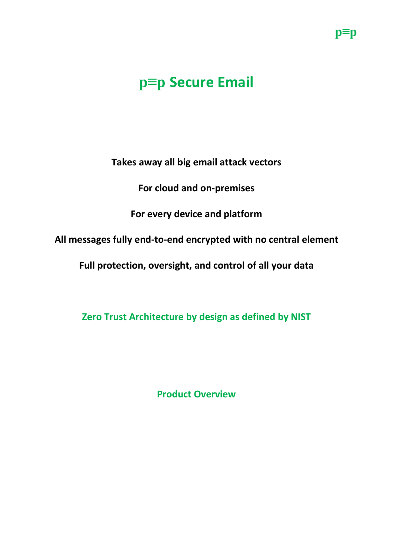## **p≡p Secure Email**

**Takes away all big email attack vectors**

**For cloud and on-premises**

**For every device and platform**

**All messages fully end-to-end encrypted with no central element**

**Full protection, oversight, and control of all your data**

**Zero Trust Architecture by design as defined by NIST**

**Product Overview**